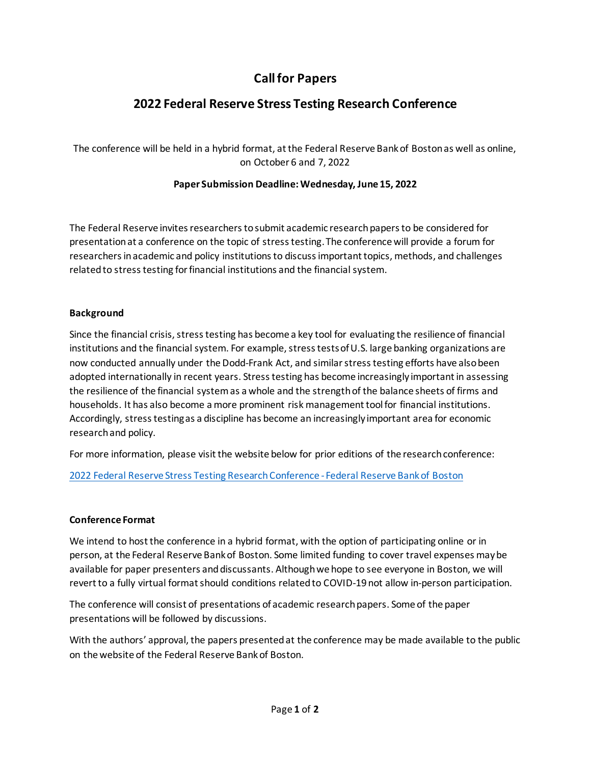# **Call for Papers**

# **2022 Federal Reserve Stress Testing Research Conference**

The conference will be held in a hybrid format, at the Federal Reserve Bank of Boston as well as online, on October 6 and 7, 2022

### **Paper Submission Deadline: Wednesday, June 15, 2022**

The Federal Reserve invites researchers to submit academic research papers to be considered for presentation at a conference on the topic of stress testing. The conference will provide a forum for researchers in academic and policy institutions to discuss important topics, methods, and challenges related to stress testing for financial institutions and the financial system.

### **Background**

Since the financial crisis, stress testing has become a key tool for evaluating the resilience of financial institutions and the financial system. For example, stress tests of U.S. large banking organizations are now conducted annually under the Dodd-Frank Act, and similar stress testing efforts have also been adopted internationally in recent years. Stress testing has become increasingly important in assessing the resilience of the financial system as a whole and the strength of the balance sheets of firms and households. It has also become a more prominent risk management tool for financial institutions. Accordingly, stress testing as a discipline has become an increasingly important area for economic research and policy.

For more information, please visit the website below for prior editions of the research conference:

[2022 Federal Reserve Stress Testing Research Conference - Federal Reserve Bank of Boston](https://www.bostonfed.org/news-and-events/events/federal-reserve-stress-testing-research-conference/2022.aspx)

### **Conference Format**

We intend to host the conference in a hybrid format, with the option of participating online or in person, at the Federal Reserve Bank of Boston. Some limited funding to cover travel expenses may be available for paper presenters and discussants. Although we hope to see everyone in Boston, we will revert to a fully virtual format should conditions related to COVID-19 not allow in-person participation.

The conference will consist of presentations of academic researchpapers. Some of the paper presentations will be followed by discussions.

With the authors' approval, the papers presented at the conference may be made available to the public on the website of the Federal Reserve Bank of Boston.